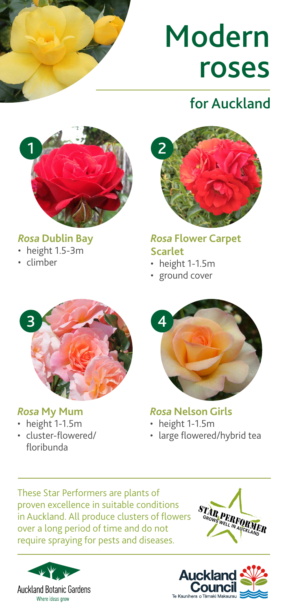# Modern roses

# for Auckland



#### *Rosa* **Dublin Bay**

- height 1.5-3m
- climber



#### *Rosa* **Flower Carpet Scarlet**

- height 1-1.5m
- ground cover



#### *Rosa* **My Mum**

- height 1-1.5m
- cluster-flowered/ floribunda



### *Rosa* **Nelson Girls**

- height 1-1.5m
- large flowered/hybrid tea

These Star Performers are plants of proven excellence in suitable conditions in Auckland. All produce clusters of flowers over a long period of time and do not require spraying for pests and diseases.